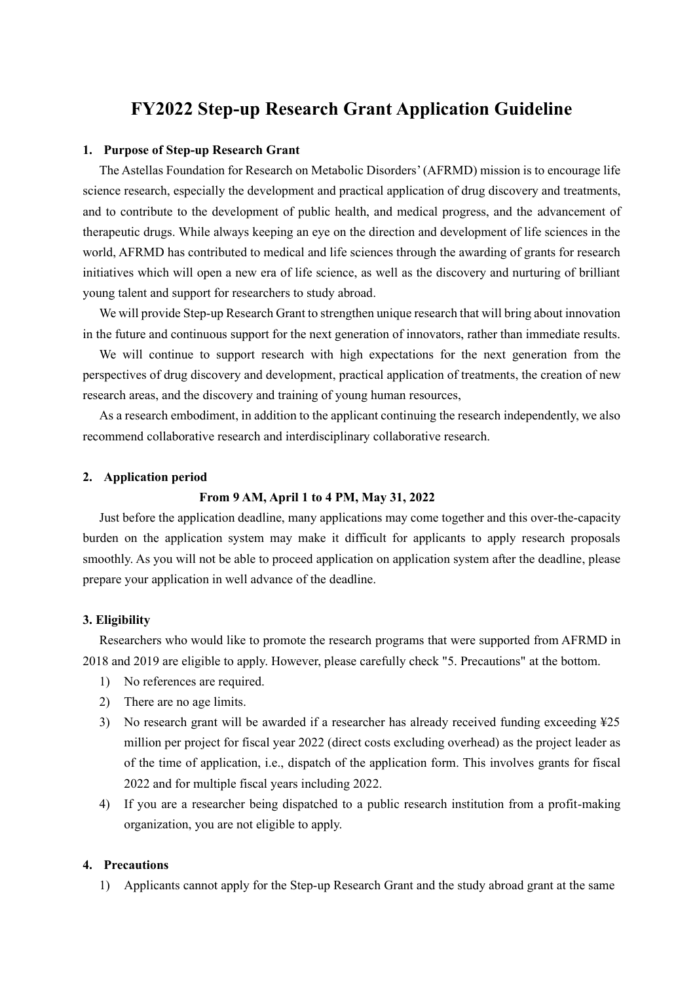# **FY2022 Step-up Research Grant Application Guideline**

#### **1. Purpose of Step-up Research Grant**

The Astellas Foundation for Research on Metabolic Disorders' (AFRMD) mission is to encourage life science research, especially the development and practical application of drug discovery and treatments, and to contribute to the development of public health, and medical progress, and the advancement of therapeutic drugs. While always keeping an eye on the direction and development of life sciences in the world, AFRMD has contributed to medical and life sciences through the awarding of grants for research initiatives which will open a new era of life science, as well as the discovery and nurturing of brilliant young talent and support for researchers to study abroad.

We will provide Step-up Research Grant to strengthen unique research that will bring about innovation in the future and continuous support for the next generation of innovators, rather than immediate results.

We will continue to support research with high expectations for the next generation from the perspectives of drug discovery and development, practical application of treatments, the creation of new research areas, and the discovery and training of young human resources,

As a research embodiment, in addition to the applicant continuing the research independently, we also recommend collaborative research and interdisciplinary collaborative research.

#### **2. Application period**

#### **From 9 AM, April 1 to 4 PM, May 31, 2022**

Just before the application deadline, many applications may come together and this over-the-capacity burden on the application system may make it difficult for applicants to apply research proposals smoothly. As you will not be able to proceed application on application system after the deadline, please prepare your application in well advance of the deadline.

#### **3. Eligibility**

Researchers who would like to promote the research programs that were supported from AFRMD in 2018 and 2019 are eligible to apply. However, please carefully check "5. Precautions" at the bottom.

- 1) No references are required.
- 2) There are no age limits.
- 3) No research grant will be awarded if a researcher has already received funding exceeding ¥25 million per project for fiscal year 2022 (direct costs excluding overhead) as the project leader as of the time of application, i.e., dispatch of the application form. This involves grants for fiscal 2022 and for multiple fiscal years including 2022.
- 4) If you are a researcher being dispatched to a public research institution from a profit-making organization, you are not eligible to apply.

#### **4. Precautions**

1) Applicants cannot apply for the Step-up Research Grant and the study abroad grant at the same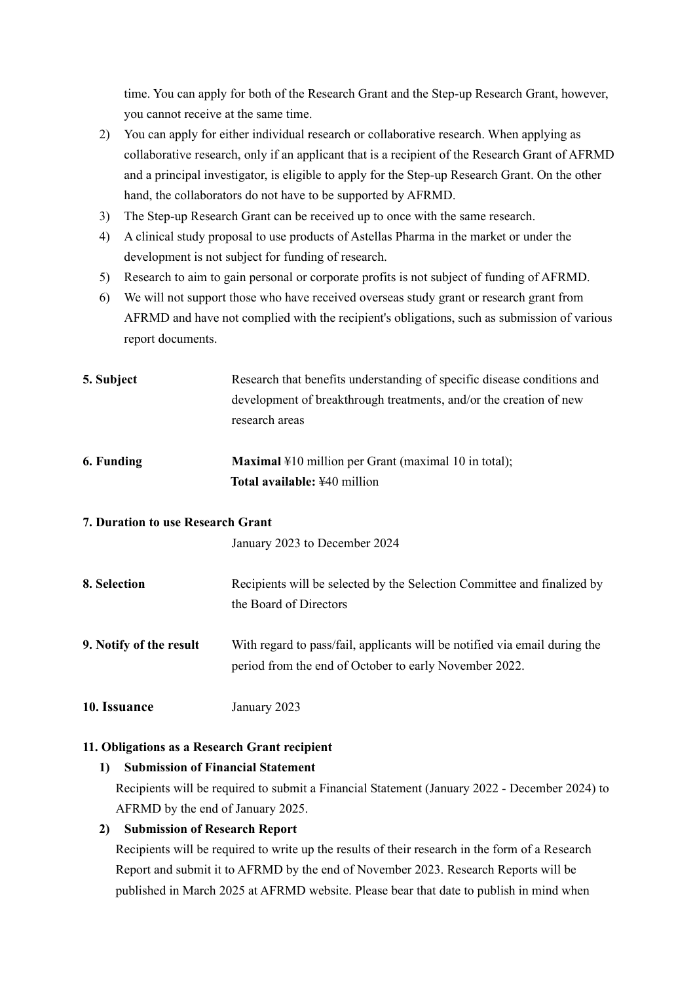time. You can apply for both of the Research Grant and the Step-up Research Grant, however, you cannot receive at the same time.

- 2) You can apply for either individual research or collaborative research. When applying as collaborative research, only if an applicant that is a recipient of the Research Grant of AFRMD and a principal investigator, is eligible to apply for the Step-up Research Grant. On the other hand, the collaborators do not have to be supported by AFRMD.
- 3) The Step-up Research Grant can be received up to once with the same research.
- 4) A clinical study proposal to use products of Astellas Pharma in the market or under the development is not subject for funding of research.
- 5) Research to aim to gain personal or corporate profits is not subject of funding of AFRMD.
- 6) We will not support those who have received overseas study grant or research grant from AFRMD and have not complied with the recipient's obligations, such as submission of various report documents.
- **5. Subject** Research that benefits understanding of specific disease conditions and development of breakthrough treatments, and/or the creation of new research areas
- **6. Funding Maximal \#10 million per Grant (maximal 10 in total); Total available:** ¥40 million

### **7. Duration to use Research Grant**

January 2023 to December 2024

- **8. Selection** Recipients will be selected by the Selection Committee and finalized by the Board of Directors
- **9. Notify of the result** With regard to pass/fail, applicants will be notified via email during the period from the end of October to early November 2022.
- **10. Issuance** January 2023

#### **11. Obligations as a Research Grant recipient**

#### **1) Submission of Financial Statement**

Recipients will be required to submit a Financial Statement (January 2022 - December 2024) to AFRMD by the end of January 2025.

#### **2) Submission of Research Report**

Recipients will be required to write up the results of their research in the form of a Research Report and submit it to AFRMD by the end of November 2023. Research Reports will be published in March 2025 at AFRMD website. Please bear that date to publish in mind when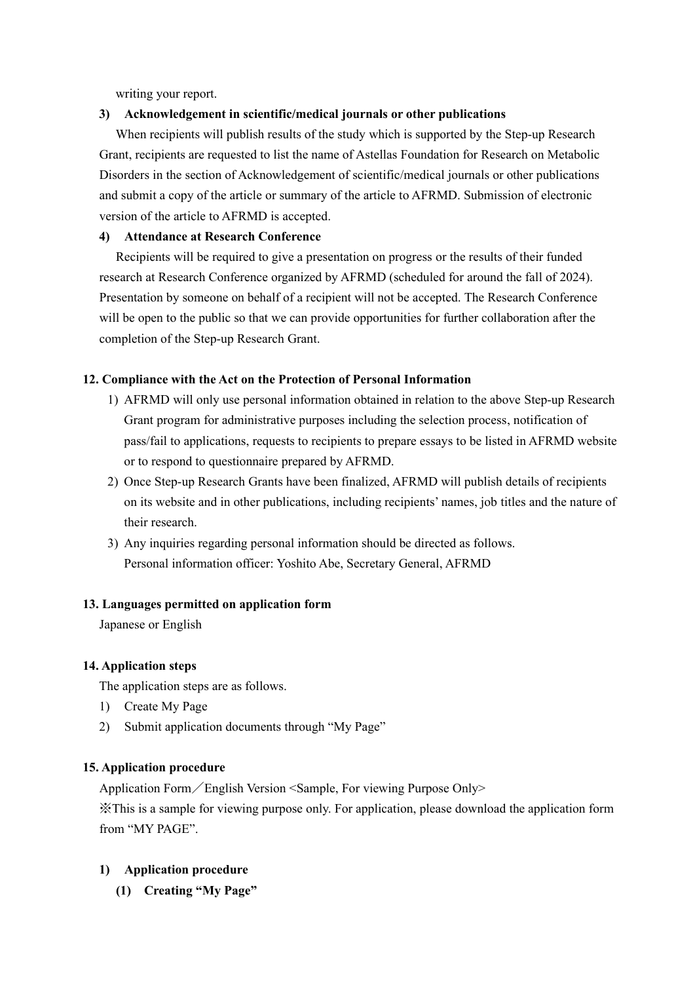writing your report.

### **3) Acknowledgement in scientific/medical journals or other publications**

When recipients will publish results of the study which is supported by the Step-up Research Grant, recipients are requested to list the name of Astellas Foundation for Research on Metabolic Disorders in the section of Acknowledgement of scientific/medical journals or other publications and submit a copy of the article or summary of the article to AFRMD. Submission of electronic version of the article to AFRMD is accepted.

### **4) Attendance at Research Conference**

Recipients will be required to give a presentation on progress or the results of their funded research at Research Conference organized by AFRMD (scheduled for around the fall of 2024). Presentation by someone on behalf of a recipient will not be accepted. The Research Conference will be open to the public so that we can provide opportunities for further collaboration after the completion of the Step-up Research Grant.

### **12. Compliance with the Act on the Protection of Personal Information**

- 1) AFRMD will only use personal information obtained in relation to the above Step-up Research Grant program for administrative purposes including the selection process, notification of pass/fail to applications, requests to recipients to prepare essays to be listed in AFRMD website or to respond to questionnaire prepared by AFRMD.
- 2) Once Step-up Research Grants have been finalized, AFRMD will publish details of recipients on its website and in other publications, including recipients' names, job titles and the nature of their research.
- 3) Any inquiries regarding personal information should be directed as follows. Personal information officer: Yoshito Abe, Secretary General, AFRMD

#### **13. Languages permitted on application form**

Japanese or English

#### **14. Application steps**

The application steps are as follows.

- 1) Create My Page
- 2) Submit application documents through "My Page"

#### **15. Application procedure**

Application Form/English Version <Sample, For viewing Purpose Only>

※This is a sample for viewing purpose only. For application, please download the application form from "MY PAGE".

### **1) Application procedure**

**(1) Creating "My Page"**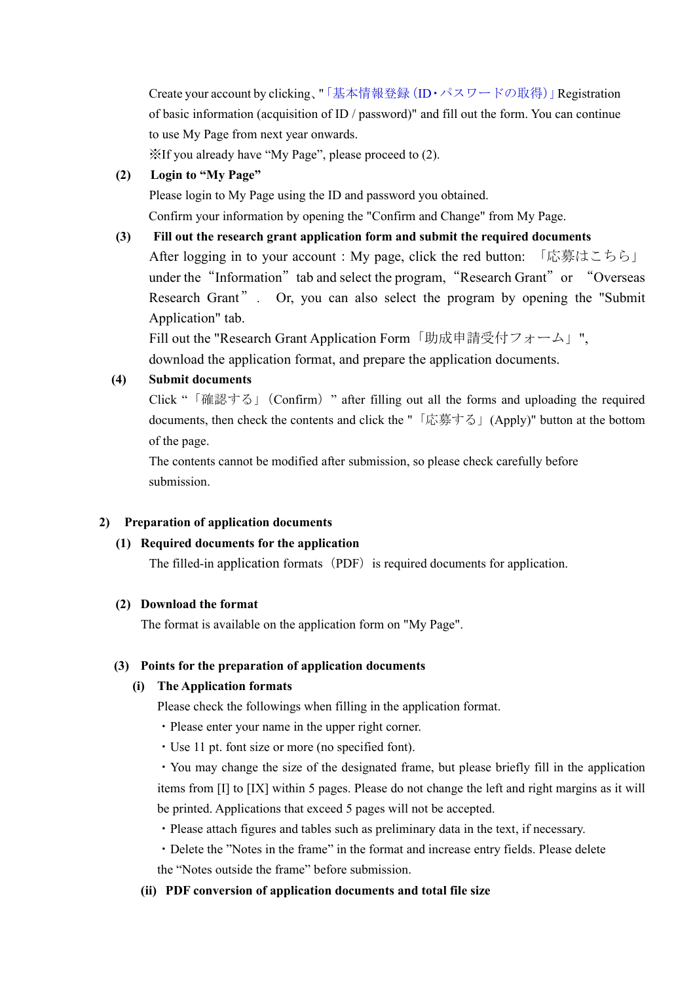Create your account by clicking、"「基本情報登録(ID・パスワードの取得)」Registration of basic information (acquisition of  $ID /$  password)" and fill out the form. You can continue to use My Page from next year onwards.

※If you already have "My Page", please proceed to (2).

## **(2) Login to "My Page"**

Please login to My Page using the ID and password you obtained.

Confirm your information by opening the "Confirm and Change" from My Page.

## **(3) Fill out the research grant application form and submit the required documents**

After logging in to your account : My page, click the red button: 「応募はこちら」 under the "Information" tab and select the program, "Research Grant" or "Overseas Research Grant". Or, you can also select the program by opening the "Submit Application" tab.

Fill out the "Research Grant Application Form「助成申請受付フォーム」", download the application format, and prepare the application documents.

# **(4) Submit documents**

Click "「確認する」(Confirm)" after filling out all the forms and uploading the required documents, then check the contents and click the "「応募する」(Apply)" button at the bottom of the page.

The contents cannot be modified after submission, so please check carefully before submission.

### **2) Preparation of application documents**

### **(1) Required documents for the application**

The filled-in application formats (PDF) is required documents for application.

### **(2) Download the format**

The format is available on the application form on "My Page".

### **(3) Points for the preparation of application documents**

### **(i) The Application formats**

Please check the followings when filling in the application format.

- ・Please enter your name in the upper right corner.
- ・Use 11 pt. font size or more (no specified font).

・You may change the size of the designated frame, but please briefly fill in the application items from [I] to [IX] within 5 pages. Please do not change the left and right margins as it will be printed. Applications that exceed 5 pages will not be accepted.

- ・Please attach figures and tables such as preliminary data in the text, if necessary.
- ・Delete the "Notes in the frame" in the format and increase entry fields. Please delete the "Notes outside the frame" before submission.

# **(ii) PDF conversion of application documents and total file size**